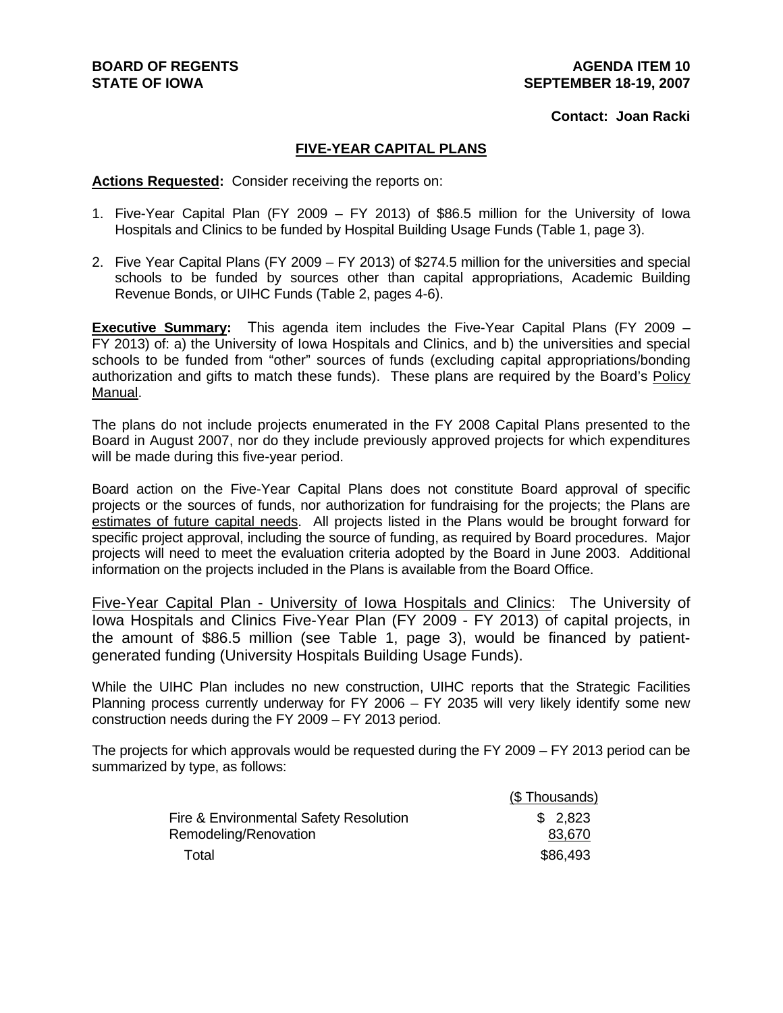## **Contact: Joan Racki**

## **FIVE-YEAR CAPITAL PLANS**

**Actions Requested:** Consider receiving the reports on:

- 1. Five-Year Capital Plan (FY 2009 FY 2013) of \$86.5 million for the University of Iowa Hospitals and Clinics to be funded by Hospital Building Usage Funds (Table 1, page 3).
- 2. Five Year Capital Plans (FY 2009 FY 2013) of \$274.5 million for the universities and special schools to be funded by sources other than capital appropriations, Academic Building Revenue Bonds, or UIHC Funds (Table 2, pages 4-6).

**Executive Summary:** This agenda item includes the Five-Year Capital Plans (FY 2009 – FY 2013) of: a) the University of Iowa Hospitals and Clinics, and b) the universities and special schools to be funded from "other" sources of funds (excluding capital appropriations/bonding authorization and gifts to match these funds). These plans are required by the Board's Policy Manual.

The plans do not include projects enumerated in the FY 2008 Capital Plans presented to the Board in August 2007, nor do they include previously approved projects for which expenditures will be made during this five-year period.

Board action on the Five-Year Capital Plans does not constitute Board approval of specific projects or the sources of funds, nor authorization for fundraising for the projects; the Plans are estimates of future capital needs. All projects listed in the Plans would be brought forward for specific project approval, including the source of funding, as required by Board procedures. Major projects will need to meet the evaluation criteria adopted by the Board in June 2003. Additional information on the projects included in the Plans is available from the Board Office.

Five-Year Capital Plan - University of Iowa Hospitals and Clinics: The University of Iowa Hospitals and Clinics Five-Year Plan (FY 2009 - FY 2013) of capital projects, in the amount of \$86.5 million (see Table 1, page 3), would be financed by patientgenerated funding (University Hospitals Building Usage Funds).

While the UIHC Plan includes no new construction, UIHC reports that the Strategic Facilities Planning process currently underway for FY 2006 – FY 2035 will very likely identify some new construction needs during the FY 2009 – FY 2013 period.

The projects for which approvals would be requested during the FY 2009 – FY 2013 period can be summarized by type, as follows:

|                                        | (\$Thousands) |
|----------------------------------------|---------------|
| Fire & Environmental Safety Resolution | \$2,823       |
| Remodeling/Renovation                  | 83,670        |
| Total                                  | \$86,493      |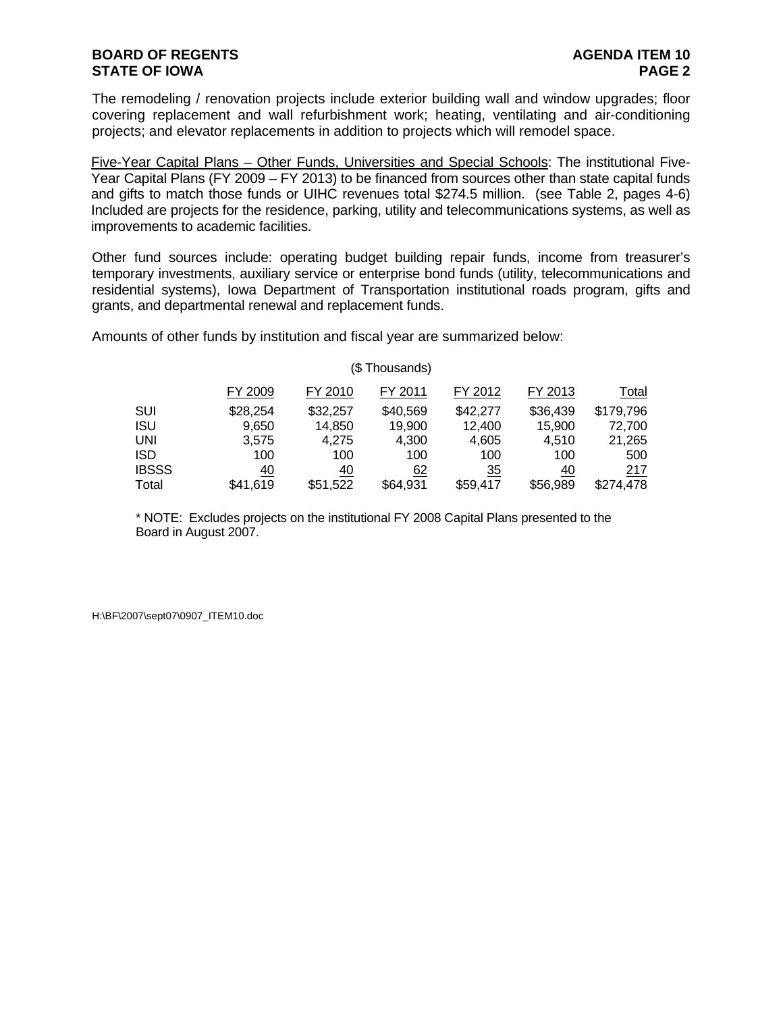The remodeling / renovation projects include exterior building wall and window upgrades; floor covering replacement and wall refurbishment work; heating, ventilating and air-conditioning projects; and elevator replacements in addition to projects which will remodel space.

Five-Year Capital Plans – Other Funds, Universities and Special Schools: The institutional Five-Year Capital Plans (FY 2009 – FY 2013) to be financed from sources other than state capital funds and gifts to match those funds or UIHC revenues total \$274.5 million. (see Table 2, pages 4-6) Included are projects for the residence, parking, utility and telecommunications systems, as well as improvements to academic facilities.

Other fund sources include: operating budget building repair funds, income from treasurer's temporary investments, auxiliary service or enterprise bond funds (utility, telecommunications and residential systems), Iowa Department of Transportation institutional roads program, gifts and grants, and departmental renewal and replacement funds.

Amounts of other funds by institution and fiscal year are summarized below:

| (\$Thousands) |          |           |          |          |          |              |  |  |  |  |  |  |  |
|---------------|----------|-----------|----------|----------|----------|--------------|--|--|--|--|--|--|--|
|               | FY 2009  | FY 2010   | FY 2011  | FY 2012  | FY 2013  | <b>Total</b> |  |  |  |  |  |  |  |
| SUI           | \$28,254 | \$32,257  | \$40,569 | \$42,277 | \$36,439 | \$179,796    |  |  |  |  |  |  |  |
| ISU           | 9,650    | 14,850    | 19,900   | 12,400   | 15,900   | 72.700       |  |  |  |  |  |  |  |
| UNI           | 3,575    | 4,275     | 4,300    | 4,605    | 4,510    | 21,265       |  |  |  |  |  |  |  |
| ISD           | 100      | 100       | 100      | 100      | 100      | 500          |  |  |  |  |  |  |  |
| <b>IBSSS</b>  | 40       | <u>40</u> | 62       | 35       | 40       | 217          |  |  |  |  |  |  |  |
| Total         | \$41.619 | \$51,522  | \$64,931 | \$59,417 | \$56,989 | \$274,478    |  |  |  |  |  |  |  |

\* NOTE: Excludes projects on the institutional FY 2008 Capital Plans presented to the Board in August 2007.

H:\BF\2007\sept07\0907\_ITEM10.doc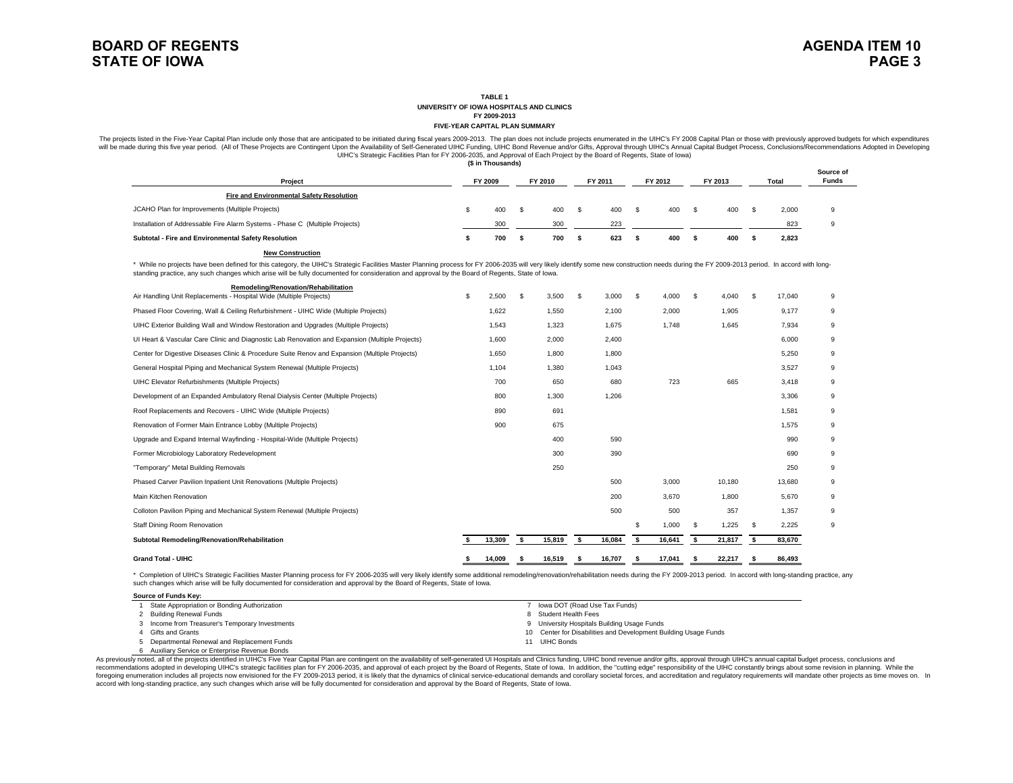**TABLE 1**

**UNIVERSITY OF IOWA HOSPITALS AND CLINICS**

**FY 2009-2013 FIVE-YEAR CAPITAL PLAN SUMMARY**

The projects listed in the Five-Year Capital Plan include only those that are anticipated to be initiated during fiscal years 2009-2013. The plan does not include projects enumerated in the UIHC's FY 2008 Capital Plan or t will be made during this five year period. (All of These Projects are Contingent Upon the Availability of Self-Generated UIHC Funding, UIHC Bond Revenue and/or Gifts, Approval through UIHCS Annual Capital Budget Process, C UIHC's Strategic Facilities Plan for FY 2006-2035, and Approval of Each Project by the Board of Regents, State of Iowa) **(\$ in Thousands)**

|                                                                              |  |         |  |         |  |         |  |         |         |     |       |       | Source of    |  |
|------------------------------------------------------------------------------|--|---------|--|---------|--|---------|--|---------|---------|-----|-------|-------|--------------|--|
| Project                                                                      |  | FY 2009 |  | FY 2010 |  | FY 2011 |  | FY 2012 | FY 2013 |     | Total |       | <b>Funds</b> |  |
| Fire and Environmental Safety Resolution                                     |  |         |  |         |  |         |  |         |         |     |       |       |              |  |
| JCAHO Plan for Improvements (Multiple Projects)                              |  | 400     |  | 400     |  | 400     |  | 400     | £.      | 400 |       | 2,000 | 9            |  |
| Installation of Addressable Fire Alarm Systems - Phase C (Multiple Projects) |  | 300     |  | 300     |  | 223     |  |         |         |     |       | 823   | 9            |  |
| Subtotal - Fire and Environmental Safety Resolution                          |  | 700     |  | 700     |  | 623     |  | 400     |         | 400 |       | 2,823 |              |  |

#### **New Construction**

\* While no projects have been defined for this category, the UIHC's Strategic Facilities Master Planning process for FY 2006-2035 will very likely identify some new construction needs during the FY 2009-2013 period. In acc standing practice, any such changes which arise will be fully documented for consideration and approval by the Board of Regents, State of Iowa.

| Remodeling/Renovation/Rehabilitation<br>Air Handling Unit Replacements - Hospital Wide (Multiple Projects) | £. | 2,500  | S  | 3,500  | \$<br>3,000  | S | 4,000  | -S   | 4,040  |      | 17,040 | 9 |
|------------------------------------------------------------------------------------------------------------|----|--------|----|--------|--------------|---|--------|------|--------|------|--------|---|
| Phased Floor Covering, Wall & Ceiling Refurbishment - UIHC Wide (Multiple Projects)                        |    | 1,622  |    | 1,550  | 2,100        |   | 2,000  |      | 1,905  |      | 9,177  | 9 |
| UIHC Exterior Building Wall and Window Restoration and Upgrades (Multiple Projects)                        |    | 1.543  |    | 1,323  | 1,675        |   | 1.748  |      | 1,645  |      | 7,934  | 9 |
| UI Heart & Vascular Care Clinic and Diagnostic Lab Renovation and Expansion (Multiple Projects)            |    | 1,600  |    | 2,000  | 2,400        |   |        |      |        |      | 6,000  | 9 |
| Center for Digestive Diseases Clinic & Procedure Suite Renov and Expansion (Multiple Projects)             |    | 1,650  |    | 1,800  | 1,800        |   |        |      |        |      | 5,250  | 9 |
| General Hospital Piping and Mechanical System Renewal (Multiple Projects)                                  |    | 1,104  |    | 1,380  | 1,043        |   |        |      |        |      | 3,527  | 9 |
| UIHC Elevator Refurbishments (Multiple Projects)                                                           |    | 700    |    | 650    | 680          |   | 723    |      | 665    |      | 3.418  | 9 |
| Development of an Expanded Ambulatory Renal Dialysis Center (Multiple Projects)                            |    | 800    |    | 1,300  | 1,206        |   |        |      |        |      | 3,306  | 9 |
| Roof Replacements and Recovers - UIHC Wide (Multiple Projects)                                             |    | 890    |    | 691    |              |   |        |      |        |      | 1,581  | 9 |
| Renovation of Former Main Entrance Lobby (Multiple Projects)                                               |    | 900    |    | 675    |              |   |        |      |        |      | 1.575  | 9 |
| Upgrade and Expand Internal Wayfinding - Hospital-Wide (Multiple Projects)                                 |    |        |    | 400    | 590          |   |        |      |        |      | 990    | 9 |
| Former Microbiology Laboratory Redevelopment                                                               |    |        |    | 300    | 390          |   |        |      |        |      | 690    | 9 |
| "Temporary" Metal Building Removals                                                                        |    |        |    | 250    |              |   |        |      |        |      | 250    | 9 |
| Phased Carver Pavilion Inpatient Unit Renovations (Multiple Projects)                                      |    |        |    |        | 500          |   | 3,000  |      | 10,180 |      | 13,680 | 9 |
| Main Kitchen Renovation                                                                                    |    |        |    |        | 200          |   | 3,670  |      | 1,800  |      | 5,670  | 9 |
| Colloton Pavilion Piping and Mechanical System Renewal (Multiple Projects)                                 |    |        |    |        | 500          |   | 500    |      | 357    |      | 1,357  | 9 |
| Staff Dining Room Renovation                                                                               |    |        |    |        |              | S | 1.000  | - \$ | 1.225  | - \$ | 2,225  | 9 |
| Subtotal Remodeling/Renovation/Rehabilitation                                                              |    | 13,309 | s. | 15,819 | \$<br>16,084 | s | 16,641 | -S   | 21,817 |      | 83,670 |   |
| <b>Grand Total - UIHC</b>                                                                                  |    | 14,009 |    | 16,519 | 16,707       |   | 17,041 |      | 22,217 |      | 86,493 |   |

\* Completion of UIHC's Strategic Facilities Master Planning process for FY 2006-2035 will very likely identify some additional remodeling/renovation/rehabilitation needs during the FY 2009-2013 period. In accord with longsuch changes which arise will be fully documented for consideration and approval by the Board of Regents, State of Iowa.

| Source of Funds Kev:                            |                                                                 |
|-------------------------------------------------|-----------------------------------------------------------------|
| State Appropriation or Bonding Authorization    | lowa DOT (Road Use Tax Funds)                                   |
| 2 Building Renewal Funds                        | 8 Student Health Fees                                           |
| 3 Income from Treasurer's Temporary Investments | 9 University Hospitals Building Usage Funds                     |
| 4 Gifts and Grants                              | 10 Center for Disabilities and Development Building Usage Funds |
| 5 Departmental Renewal and Replacement Funds    | 11 UIHC Bonds                                                   |
| 6 Auxiliary Service or Enterprise Revenue Bonds |                                                                 |

As previously noted, all of the projects identified in UIHC's Five Year Capital Plan are contingent on the availability of self-generated UI Hospitals and Clinics funding, UIHC bond revenue and/or gifts, approval through U recommendations adopted in developing UIHC's strategic facilities plan for FY 2006-2035, and approval of each project by the Board of Regents, State of lowa. In addition, the "cutting edge" responsibility of the UIHC const foregoing enumeration includes all projects now envisioned for the FY 2009-2013 period, it is likely that the dynamics of clinical service-educational demands and corollary societal forces, and accreditation and regulatory accord with long-standing practice, any such changes which arise will be fully documented for consideration and approval by the Board of Regents, State of Iowa.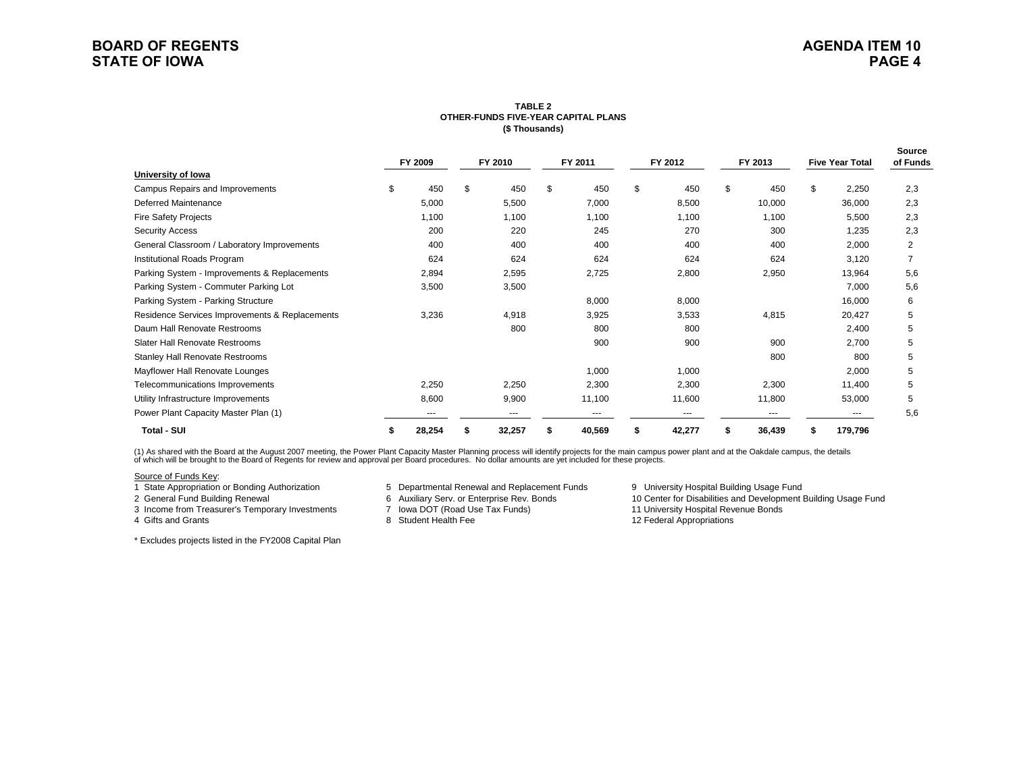### **TABLE 2 OTHER-FUNDS FIVE-YEAR CAPITAL PLANS(\$ Thousands)**

|                                                |    | FY 2009 |    | FY 2010 |    | FY 2011 |    | FY 2012 |    | FY 2013 |    | <b>Five Year Total</b> | Source<br>of Funds |  |
|------------------------------------------------|----|---------|----|---------|----|---------|----|---------|----|---------|----|------------------------|--------------------|--|
| University of Iowa                             |    |         |    |         |    |         |    |         |    |         |    |                        |                    |  |
| Campus Repairs and Improvements                | \$ | 450     | \$ | 450     | \$ | 450     | \$ | 450     | \$ | 450     | \$ | 2,250                  | 2,3                |  |
| Deferred Maintenance                           |    | 5,000   |    | 5,500   |    | 7,000   |    | 8,500   |    | 10,000  |    | 36,000                 | 2,3                |  |
| <b>Fire Safety Projects</b>                    |    | 1,100   |    | 1,100   |    | 1,100   |    | 1,100   |    | 1,100   |    | 5,500                  | 2,3                |  |
| <b>Security Access</b>                         |    | 200     |    | 220     |    | 245     |    | 270     |    | 300     |    | 1,235                  | 2,3                |  |
| General Classroom / Laboratory Improvements    |    | 400     |    | 400     |    | 400     |    | 400     |    | 400     |    | 2,000                  | 2                  |  |
| Institutional Roads Program                    |    | 624     |    | 624     |    | 624     |    | 624     |    | 624     |    | 3,120                  |                    |  |
| Parking System - Improvements & Replacements   |    | 2,894   |    | 2,595   |    | 2,725   |    | 2,800   |    | 2,950   |    | 13,964                 | 5,6                |  |
| Parking System - Commuter Parking Lot          |    | 3,500   |    | 3,500   |    |         |    |         |    |         |    | 7,000                  | 5,6                |  |
| Parking System - Parking Structure             |    |         |    |         |    | 8,000   |    | 8,000   |    |         |    | 16,000                 | 6                  |  |
| Residence Services Improvements & Replacements |    | 3,236   |    | 4,918   |    | 3,925   |    | 3,533   |    | 4,815   |    | 20,427                 | 5                  |  |
| Daum Hall Renovate Restrooms                   |    |         |    | 800     |    | 800     |    | 800     |    |         |    | 2,400                  | 5                  |  |
| Slater Hall Renovate Restrooms                 |    |         |    |         |    | 900     |    | 900     |    | 900     |    | 2,700                  | 5                  |  |
| <b>Stanley Hall Renovate Restrooms</b>         |    |         |    |         |    |         |    |         |    | 800     |    | 800                    | 5                  |  |
| Mayflower Hall Renovate Lounges                |    |         |    |         |    | 1,000   |    | 1,000   |    |         |    | 2,000                  | 5                  |  |
| Telecommunications Improvements                |    | 2,250   |    | 2,250   |    | 2,300   |    | 2,300   |    | 2,300   |    | 11,400                 | 5                  |  |
| Utility Infrastructure Improvements            |    | 8,600   |    | 9,900   |    | 11,100  |    | 11,600  |    | 11,800  |    | 53,000                 | 5                  |  |
| Power Plant Capacity Master Plan (1)           |    | ---     |    | ---     |    | ---     |    | ---     |    | ---     |    | ---                    | 5,6                |  |
| <b>Total - SUI</b>                             |    | 28,254  |    | 32,257  |    | 40,569  |    | 42,277  |    | 36,439  |    | 179,796                |                    |  |

(1) As shared with the Board at the August 2007 meeting, the Power Plant Capacity Master Planning process will identify projects for the main campus power plant and at the Oakdale campus, the details<br>of which will be broug

#### Source of Funds Key:

3 Income from Treasurer's Temporary Investments

4 Gifts and Grants

- 1 State Appropriation or Bonding Authorization 6 Departmental Renewal and Replacement Funds 9 University Hospital Building Usage Fund<br>2 General Fund Building Renewal 6 Auxiliary Serv. or Enterprise Rev. Bonds 6 10 Center f
	-
	- 8 Student Health Fee

2 6 Auxiliary Serv. or Enterprise Rev. Bonds 10 Center for Disabilities and Development Building Usage Fund<br>11 University Hospital Revenue Bonds 10 Center for Disabilities and Development Building Usage Fund

12 Federal Appropriations

\* Excludes projects listed in the FY2008 Capital Plan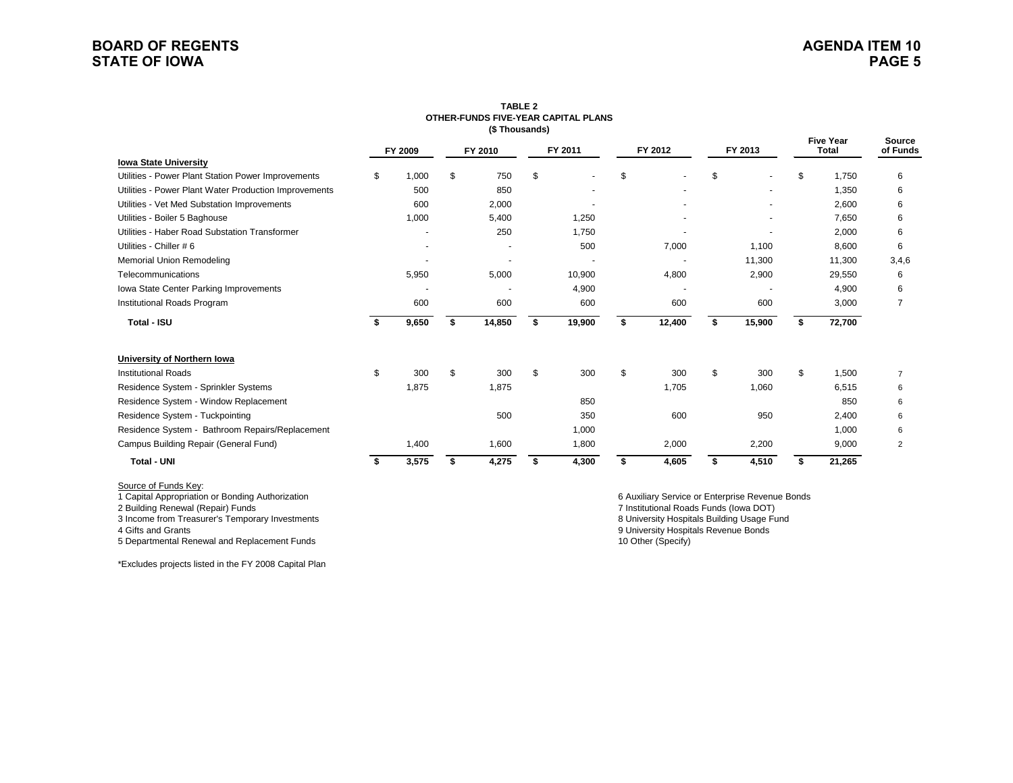## **BOARD OF REGENTSSTATE OF IOWA**

|                                                       |    |         |         | (\$Thousands) |         | OTHER-FUNDS FIVE-YEAR CAPITAL PLANS |         |        |         |        |                                  |        |                           |
|-------------------------------------------------------|----|---------|---------|---------------|---------|-------------------------------------|---------|--------|---------|--------|----------------------------------|--------|---------------------------|
|                                                       |    | FY 2009 | FY 2010 |               | FY 2011 |                                     | FY 2012 |        | FY 2013 |        | <b>Five Year</b><br><b>Total</b> |        | <b>Source</b><br>of Funds |
| <b>Iowa State University</b>                          |    |         |         |               |         |                                     |         |        |         |        |                                  |        |                           |
| Utilities - Power Plant Station Power Improvements    | \$ | 1,000   | \$      | 750           | \$      | $\blacksquare$                      | \$      |        | \$      |        | \$                               | 1.750  | 6                         |
| Utilities - Power Plant Water Production Improvements |    | 500     |         | 850           |         |                                     |         |        |         |        |                                  | 1.350  | 6                         |
| Utilities - Vet Med Substation Improvements           |    | 600     |         | 2,000         |         |                                     |         |        |         |        |                                  | 2,600  | 6                         |
| Utilities - Boiler 5 Baghouse                         |    | 1,000   |         | 5,400         |         | 1,250                               |         |        |         |        |                                  | 7,650  | 6                         |
| Utilities - Haber Road Substation Transformer         |    |         |         | 250           |         | 1,750                               |         |        |         |        |                                  | 2,000  | 6                         |
| Utilities - Chiller # 6                               |    |         |         |               |         | 500                                 |         | 7,000  |         | 1,100  |                                  | 8,600  | 6                         |
| <b>Memorial Union Remodeling</b>                      |    |         |         |               |         |                                     |         |        |         | 11,300 |                                  | 11,300 | 3,4,6                     |
| Telecommunications                                    |    | 5,950   |         | 5,000         |         | 10,900                              |         | 4,800  |         | 2,900  |                                  | 29,550 | 6                         |
| Iowa State Center Parking Improvements                |    |         |         |               |         | 4,900                               |         |        |         |        |                                  | 4,900  | 6                         |
| Institutional Roads Program                           |    | 600     |         | 600           |         | 600                                 |         | 600    |         | 600    |                                  | 3,000  | $\overline{7}$            |
| Total - ISU                                           | \$ | 9,650   | \$      | 14,850        | \$      | 19,900                              | \$      | 12,400 | \$      | 15,900 | \$                               | 72,700 |                           |
| University of Northern Iowa                           |    |         |         |               |         |                                     |         |        |         |        |                                  |        |                           |
| <b>Institutional Roads</b>                            | \$ | 300     | \$      | 300           | \$.     | 300                                 | \$      | 300    | \$      | 300    | \$                               | 1,500  | $\overline{7}$            |
| Residence System - Sprinkler Systems                  |    | 1,875   |         | 1,875         |         |                                     |         | 1,705  |         | 1,060  |                                  | 6,515  | 6                         |
| Residence System - Window Replacement                 |    |         |         |               |         | 850                                 |         |        |         |        |                                  | 850    | 6                         |
| Residence System - Tuckpointing                       |    |         |         | 500           |         | 350                                 |         | 600    |         | 950    |                                  | 2,400  | 6                         |
| Residence System - Bathroom Repairs/Replacement       |    |         |         |               |         | 1,000                               |         |        |         |        |                                  | 1,000  | 6                         |
| Campus Building Repair (General Fund)                 |    | 1,400   |         | 1,600         |         | 1,800                               |         | 2,000  |         | 2,200  |                                  | 9,000  | $\overline{2}$            |
| <b>Total - UNI</b>                                    | s  | 3,575   | s       | 4,275         | S       | 4,300                               | \$      | 4,605  | \$      | 4,510  | S                                | 21,265 |                           |

# **TABLE 2**

Source of Funds Key:<br>1 Capital Appropriation or Bonding Authorization

3 Income from Treasurer's Temporary Investments

4 Gifts and Grants

5 Departmental Renewal and Replacement Funds

\*Excludes projects listed in the FY 2008 Capital Plan

9 University Hospitals Revenue Bonds<br>10 Other (Specify) 2 Building Renewal (Repair) Funds 7 Institutional Roads Funds (Iowa DOT) 6 Auxiliary Service or Enterprise Revenue Bonds